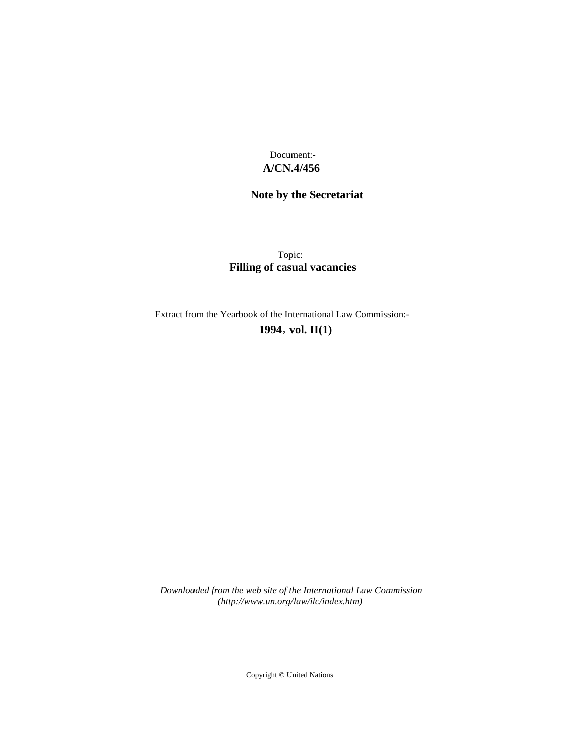**A/CN.4/456** Document:-

# **Note by the Secretariat**

Topic: **Filling of casual vacancies**

Extract from the Yearbook of the International Law Commission:- **1994** , **vol. II(1)**

*Downloaded from the web site of the International Law Commission (http://www.un.org/law/ilc/index.htm)*

Copyright © United Nations